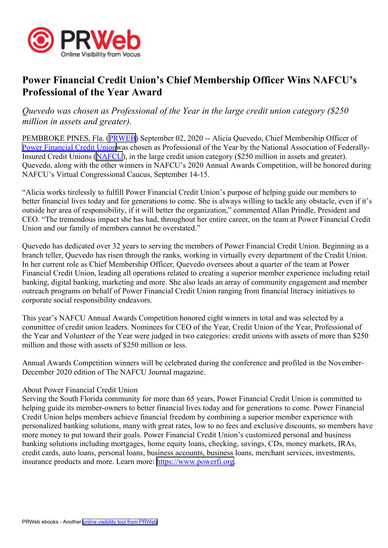

## **Power Financial Credit Union's Chief Membership Officer Wins NAFCU's Professional of the Year Award**

*Quevedo was chosen as Professional of the Year in the large credit union category (\$250 million in assets and greater).*

PEMBROKE PINES, Fla. ([PRWEB](http://www.prweb.com)) September 02, 2020 -- Alicia Quevedo, Chief Membership Officer of Power [Financial](https://www.powerfi.org/) Credit Unionwas chosen as Professional of the Year by the National Association of Federally-Insured Credit Unions ([NAFCU](https://www.nafcu.org/)), in the large credit union category (\$250 million in assets and greater). Quevedo, along with the other winners in NAFCU's 2020 Annual Awards Competition, will be honored during NAFCU's Virtual Congressional Caucus, September 14-15.

"Alicia works tirelessly to fulfill Power Financial Credit Union's purpose of helping guide our members to better financial lives today and for generations to come. She is always willing to tackle any obstacle, even if it's outside her area of responsibility, if it will better the organization," commented Allan Prindle, President and CEO. "The tremendous impact she has had, throughout her entire career, on the team at Power Financial Credit Union and our family of members cannot be overstated."

Quevedo has dedicated over 32 years to serving the members of Power Financial Credit Union. Beginning as <sup>a</sup> branch teller, Quevedo has risen through the ranks, working in virtually every department of the Credit Union. In her current role as Chief Membership Officer, Quevedo oversees about <sup>a</sup> quarter of the team at Power Financial Credit Union, leading all operations related to creating <sup>a</sup> superior member experience including retail banking, digital banking, marketing and more. She also leads an array of community engagemen<sup>t</sup> and member outreach programs on behalf of Power Financial Credit Union ranging from financial literacy initiatives to corporate social responsibility endeavors.

This year's NAFCU Annual Awards Competition honored eight winners in total and was selected by <sup>a</sup> committee of credit union leaders. Nominees for CEO of the Year, Credit Union of the Year, Professional of the Year and Volunteer of the Year were judged in two categories: credit unions with assets of more than \$250 million and those with assets of \$250 million or less.

Annual Awards Competition winners will be celebrated during the conference and profiled in the November-December 2020 edition of The NAFCU Journal magazine.

## About Power Financial Credit Union

Serving the South Florida community for more than 65 years, Power Financial Credit Union is committed to helping guide its member-owners to better financial lives today and for generations to come. Power Financial Credit Union helps members achieve financial freedom by combining <sup>a</sup> superior member experience with personalized banking solutions, many with grea<sup>t</sup> rates, low to no fees and exclusive discounts, so members have more money to pu<sup>t</sup> toward their goals. Power Financial Credit Union's customized personal and business banking solutions including mortgages, home equity loans, checking, savings, CDs, money markets, IRAs, credit cards, auto loans, personal loans, business accounts, business loans, merchant services, investments, insurance products and more. Learn more: <https://www.powerfi.org>.